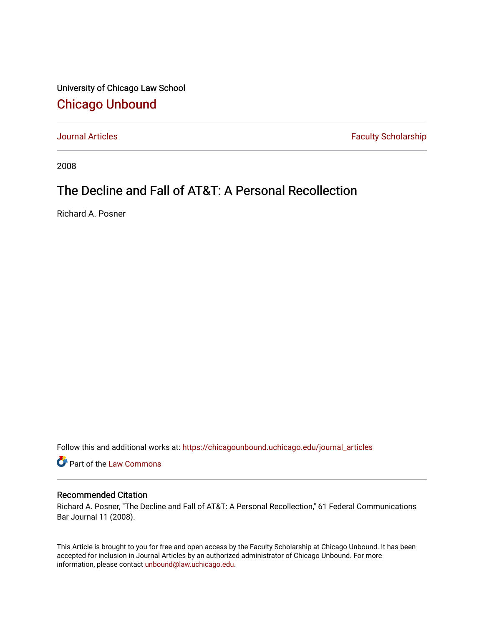University of Chicago Law School [Chicago Unbound](https://chicagounbound.uchicago.edu/)

[Journal Articles](https://chicagounbound.uchicago.edu/journal_articles) **Faculty Scholarship Faculty Scholarship** 

2008

## The Decline and Fall of AT&T: A Personal Recollection

Richard A. Posner

Follow this and additional works at: [https://chicagounbound.uchicago.edu/journal\\_articles](https://chicagounbound.uchicago.edu/journal_articles?utm_source=chicagounbound.uchicago.edu%2Fjournal_articles%2F6780&utm_medium=PDF&utm_campaign=PDFCoverPages) 

Part of the [Law Commons](http://network.bepress.com/hgg/discipline/578?utm_source=chicagounbound.uchicago.edu%2Fjournal_articles%2F6780&utm_medium=PDF&utm_campaign=PDFCoverPages)

## Recommended Citation

Richard A. Posner, "The Decline and Fall of AT&T: A Personal Recollection," 61 Federal Communications Bar Journal 11 (2008).

This Article is brought to you for free and open access by the Faculty Scholarship at Chicago Unbound. It has been accepted for inclusion in Journal Articles by an authorized administrator of Chicago Unbound. For more information, please contact [unbound@law.uchicago.edu](mailto:unbound@law.uchicago.edu).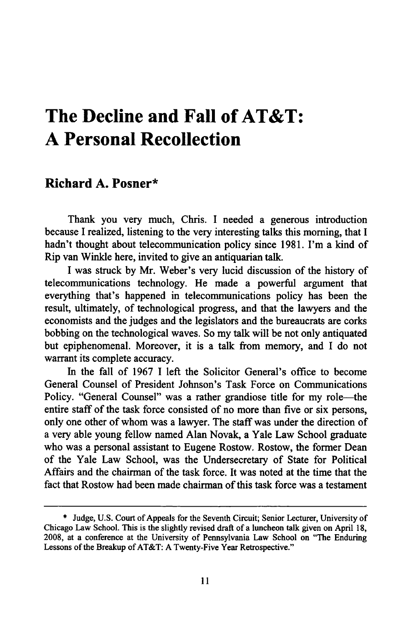## **The Decline and Fall of AT&T: A Personal Recollection**

## **Richard A. Posner\***

Thank you very much, Chris. I needed a generous introduction because **I** realized, listening to the very interesting talks this morning, that **I** hadn't thought about telecommunication policy since **1981.** I'm a kind of Rip van Winkle here, invited to give an antiquarian talk.

**I** was struck **by** Mr. Weber's very lucid discussion of the history of telecommunications technology. He made a powerful argument that everything that's happened in telecommunications policy has been the result, ultimately, of technological progress, and that the lawyers and the economists and the judges and the legislators and the bureaucrats are corks bobbing on the technological waves. So my talk will be not only antiquated but epiphenomenal. Moreover, it is a talk from memory, and I do not warrant its complete accuracy.

In the fall of 1967 I left the Solicitor General's office to become General Counsel of President Johnson's Task Force on Communications Policy. "General Counsel" was a rather grandiose title for my role—the entire staff of the task force consisted of no more than five or six persons, only one other of whom was a lawyer. The staff was under the direction of a very able young fellow named Alan Novak, a Yale Law School graduate who was a personal assistant to Eugene Rostow. Rostow, the former Dean of the Yale Law School, was the Undersecretary of State for Political Affairs and the chairman of the task force. It was noted at the time that the fact that Rostow had been made chairman of this task force was a testament

**<sup>\*</sup>** Judge, U.S. Court of Appeals for the Seventh Circuit; Senior Lecturer, University of Chicago Law School. This is the slightly revised draft of a luncheon talk given on April 18, 2008, at a conference at the University of Pennsylvania Law School on "The Enduring Lessons of the Breakup of AT&T: A Twenty-Five Year Retrospective."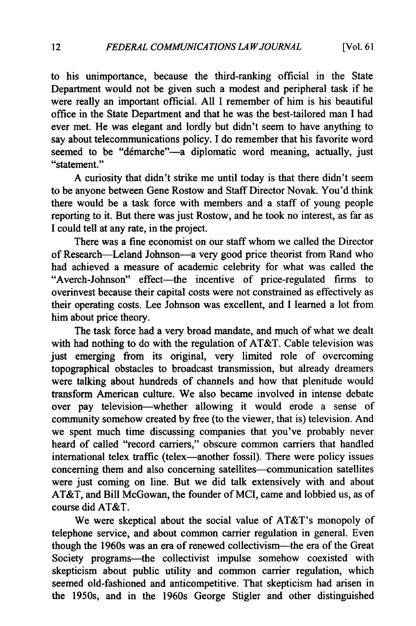to his unimportance, because the third-ranking official in the State Department would not be given such a modest and peripheral task if he were really an important official. All I remember of him is his beautiful office in the State Department and that he was the best-tailored man I had ever met. He was elegant and lordly but didn't seem to have anything to say about telecommunications policy. I do remember that his favorite word seemed to be "démarche"--a diplomatic word meaning, actually, just "statement."

A curiosity that didn't strike me until today is that there didn't seem to be anyone between Gene Rostow and Staff Director Novak. You'd think there would be a task force with members and a staff of young people reporting to it. But there was just Rostow, and he took no interest, as far as I could tell at any rate, in the project.

There was a fine economist on our staff whom we called the Director of Research-Leland Johnson-a very good price theorist from Rand who had achieved a measure of academic celebrity for what was called the "Averch-Johnson" effect--- the incentive of price-regulated firms to overinvest because their capital costs were not constrained as effectively as their operating costs. Lee Johnson was excellent, and I learned a lot from him about price theory.

The task force had a very broad mandate, and much of what we dealt with had nothing to do with the regulation of AT&T. Cable television was just emerging from its original, very limited role of overcoming topographical obstacles to broadcast transmission, but already dreamers were talking about hundreds of channels and how that plenitude would transform American culture. We also became involved in intense debate over pay television-whether allowing it would erode a sense of community somehow created by free (to the viewer, that is) television. And we spent much time discussing companies that you've probably never heard of called "record carriers," obscure common carriers that handled international telex traffic (telex—another fossil). There were policy issues concerning them and also concerning satellites—communication satellites were just coming on line. But we did talk extensively with and about AT&T, and Bill McGowan, the founder of MCI, came and lobbied us, as of course did AT&T.

We were skeptical about the social value of AT&T's monopoly of telephone service, and about common carrier regulation in general. Even though the 1960s was an era of renewed collectivism-the era of the Great Society programs-the collectivist impulse somehow coexisted with skepticism about public utility and common carrier regulation, which seemed old-fashioned and anticompetitive. That skepticism had arisen in the 1950s, and in the 1960s George Stigler and other distinguished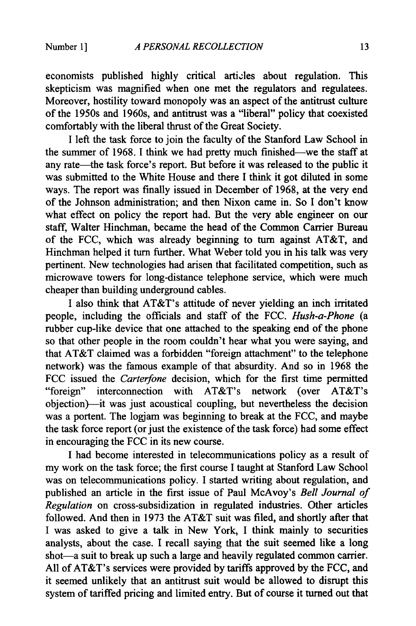economists published highly critical artizles about regulation. This skepticism was magnified when one met the regulators and regulatees. Moreover, hostility toward monopoly was an aspect of the antitrust culture of the 1950s and 1960s, and antitrust was a "liberal" policy that coexisted comfortably with the liberal thrust of the Great Society.

I left the task force to join the faculty of the Stanford Law School in the summer of 1968. I think we had pretty much finished—we the staff at any rate—the task force's report. But before it was released to the public it was submitted to the White House and there I think it got diluted in some ways. The report was finally issued in December of 1968, at the very end of the Johnson administration; and then Nixon came in. So I don't know what effect on policy the report had. But the very able engineer on our staff, Walter Hinchman, became the head of the Common Carrier Bureau of the FCC, which was already beginning to turn against AT&T, and Hinchman helped it turn further. What Weber told you in his talk was very pertinent. New technologies had arisen that facilitated competition, such as microwave towers for long-distance telephone service, which were much cheaper than building underground cables.

I also think that AT&T's attitude of never yielding an inch irritated people, including the officials and staff of the FCC. *Hush-a-Phone* (a rubber cup-like device that one attached to the speaking end of the phone so that other people in the room couldn't hear what you were saying, and that AT&T claimed was a forbidden "foreign attachment" to the telephone network) was the famous example of that absurdity. And so in 1968 the FCC issued the *Carterfone* decision, which for the first time permitted "foreign" interconnection with AT&T's network (over AT&T's objection)--it was just acoustical coupling, but nevertheless the decision was a portent. The logjam was beginning to break at the FCC, and maybe the task force report (or just the existence of the task force) had some effect in encouraging the FCC in its new course.

I had become interested in telecommunications policy as a result of my work on the task force; the first course I taught at Stanford Law School was on telecommunications policy. I started writing about regulation, and published an article in the first issue of Paul McAvoy's *Bell Journal of Regulation* on cross-subsidization in regulated industries. Other articles followed. And then in 1973 the AT&T suit was filed, and shortly after that I was asked to give a talk in New York, I think mainly to securities analysts, about the case. I recall saying that the suit seemed like a long shot-a suit to break up such a large and heavily regulated common carrier. All of AT&T's services were provided by tariffs approved by the FCC, and it seemed unlikely that an antitrust suit would be allowed to disrupt this system of tariffed pricing and limited entry. But of course it turned out that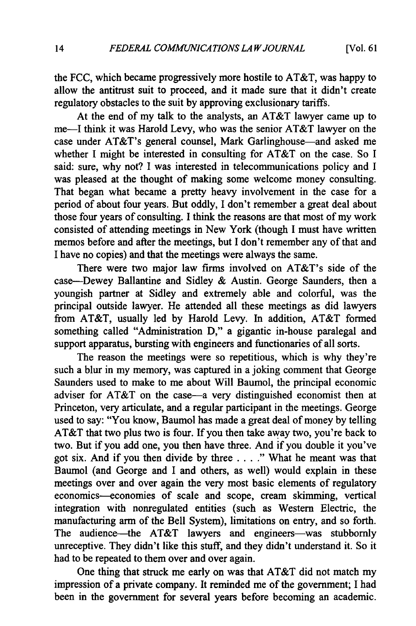the FCC, which became progressively more hostile to AT&T, was happy to allow the antitrust suit to proceed, and it made sure that it didn't create regulatory obstacles to the suit by approving exclusionary tariffs.

At the end of my talk to the analysts, an AT&T lawyer came up to me-I think it was Harold Levy, who was the senior AT&T lawyer on the case under AT&T's general counsel, Mark Garlinghouse-and asked me whether I might be interested in consulting for AT&T on the case. So I said: sure, why not? I was interested in telecommunications policy and I was pleased at the thought of making some welcome money consulting. That began what became a pretty heavy involvement in the case for a period of about four years. But oddly, I don't remember a great deal about those four years of consulting. I think the reasons are that most of my work consisted of attending meetings in New York (though I must have written memos before and after the meetings, but I don't remember any of that and I have no copies) and that the meetings were always the same.

There were two major law firms involved on AT&T's side of the case-Dewey Ballantine and Sidley & Austin. George Saunders, then a youngish partner at Sidley and extremely able and colorful, was the principal outside lawyer. He attended all these meetings as did lawyers from AT&T, usually led **by** Harold Levy. In addition, AT&T formed something called "Administration D," a gigantic in-house paralegal and support apparatus, bursting with engineers and functionaries of all sorts.

The reason the meetings were so repetitious, which is why they're such a blur in my memory, was captured in a joking comment that George Saunders used to make to me about Will Baumol, the principal economic adviser for AT&T on the case-a very distinguished economist then at Princeton, very articulate, and a regular participant in the meetings. George used to say: "You know, Baumol has made a great deal of money by telling AT&T that two plus two is four. If you then take away two, you're back to two. But if you add one, you then have three. And if you double it you've got six. And if you then divide by three .... **."** What he meant was that Baumol (and George and I and others, as well) would explain in these meetings over and over again the very most basic elements of regulatory economics-economies of scale and scope, cream skimming, vertical integration with nonregulated entities (such as Western Electric, the manufacturing arm of the Bell System), limitations on entry, and so forth. The audience--the AT&T lawyers and engineers--was stubbornly unreceptive. They didn't like this stuff, and they didn't understand it. So it had to be repeated to them over and over again.

One thing that struck me early on was that AT&T did not match my impression of a private company. It reminded me of the government; I had been in the government for several years before becoming an academic.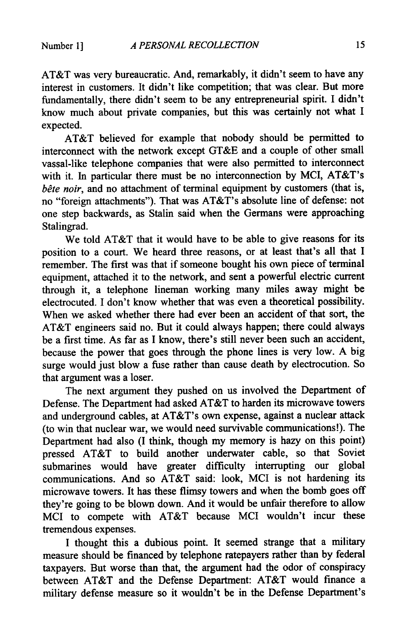AT&T was very bureaucratic. And, remarkably, it didn't seem to have any interest in customers. It didn't like competition; that was clear. But more fundamentally, there didn't seem to be any entrepreneurial spirit. I didn't know much about private companies, but this was certainly not what I expected.

AT&T believed for example that nobody should be permitted to interconnect with the network except GT&E and a couple of other small vassal-like telephone companies that were also permitted to interconnect with it. In particular there must be no interconnection by MCI, AT&T's *bête noir*, and no attachment of terminal equipment by customers (that is, no "foreign attachments"). That was AT&T's absolute line of defense: not one step backwards, as Stalin said when the Germans were approaching Stalingrad.

We told AT&T that it would have to be able to give reasons for its position to a court. We heard three reasons, or at least that's all that I remember. The first was that if someone bought his own piece of terminal equipment, attached it to the network, and sent a powerful electric current through it, a telephone lineman working many miles away might be electrocuted. I don't know whether that was even a theoretical possibility. When we asked whether there had ever been an accident of that sort, the AT&T engineers said no. But it could always happen; there could always be a first time. As far as I know, there's still never been such an accident, because the power that goes through the phone lines is very low. A big surge would just blow a fuse rather than cause death by electrocution. So that argument was a loser.

The next argument they pushed on us involved the Department of Defense. The Department had asked AT&T to harden its microwave towers and underground cables, at AT&T's own expense, against a nuclear attack (to win that nuclear war, we would need survivable communications!). The Department had also (I think, though my memory is hazy on this point) pressed AT&T to build another underwater cable, so that Soviet submarines would have greater difficulty interrupting our global communications. And so AT&T said: look, MCI is not hardening its microwave towers. It has these flimsy towers and when the bomb goes off they're going to be blown down. And it would be unfair therefore to allow MCI to compete with AT&T because MCI wouldn't incur these tremendous expenses.

I thought this a dubious point. It seemed strange that a military measure should be financed by telephone ratepayers rather than by federal taxpayers. But worse than that, the argument had the odor of conspiracy between AT&T and the Defense Department: AT&T would finance a military defense measure so it wouldn't be in the Defense Department's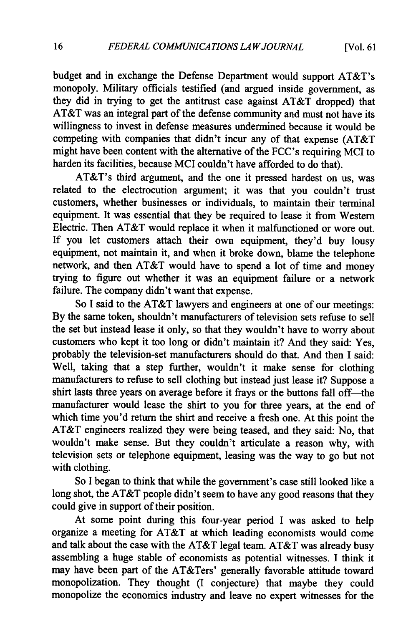budget and in exchange the Defense Department would support AT&T's monopoly. Military officials testified (and argued inside government, as they did in trying to get the antitrust case against AT&T dropped) that AT&T was an integral part of the defense community and must not have its willingness to invest in defense measures undermined because it would be competing with companies that didn't incur any of that expense (AT&T might have been content with the alternative of the FCC's requiring MCI to harden its facilities, because MCI couldn't have afforded to do that).

AT&T's third argument, and the one it pressed hardest on us, was related to the electrocution argument; it was that you couldn't trust customers, whether businesses or individuals, to maintain their terminal equipment. It was essential that they be required to lease it from Western Electric. Then AT&T would replace it when it malfunctioned or wore out. If you let customers attach their own equipment, they'd buy lousy equipment, not maintain it, and when it broke down, blame the telephone network, and then AT&T would have to spend a lot of time and money trying to figure out whether it was an equipment failure or a network failure. The company didn't want that expense.

So I said to the AT&T lawyers and engineers at one of our meetings: By the same token, shouldn't manufacturers of television sets refuse to sell the set but instead lease it only, so that they wouldn't have to worry about customers who kept it too long or didn't maintain it? And they said: Yes, probably the television-set manufacturers should do that. And then I said: Well, taking that a step further, wouldn't it make sense for clothing manufacturers to refuse to sell clothing but instead just lease it? Suppose a shirt lasts three years on average before it frays or the buttons fall off-the manufacturer would lease the shirt to you for three years, at the end of which time you'd return the shirt and receive a fresh one. At this point the AT&T engineers realized they were being teased, and they said: No, that wouldn't make sense. But they couldn't articulate a reason why, with television sets or telephone equipment, leasing was the way to go but not with clothing.

So I began to think that while the government's case still looked like a long shot, the AT&T people didn't seem to have any good reasons that they could give in support of their position.

At some point during this four-year period I was asked to help organize a meeting for AT&T at which leading economists would come and talk about the case with the AT&T legal team. AT&T was already busy assembling a huge stable of economists as potential witnesses. I think it may have been part of the AT&Ters' generally favorable attitude toward monopolization. They thought (I conjecture) that maybe they could monopolize the economics industry and leave no expert witnesses for the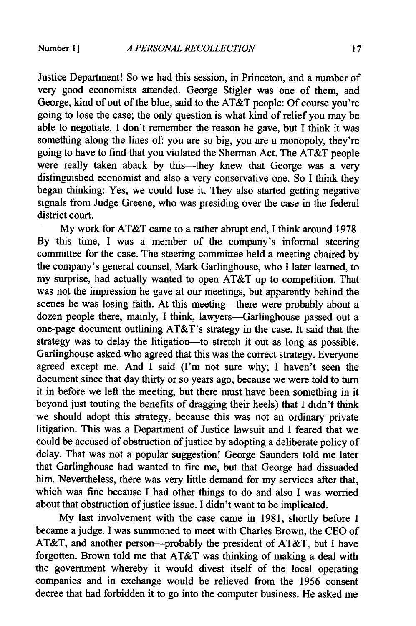Justice Department! So we had this session, in Princeton, and a number of very good economists attended. George Stigler was one of them, and George, kind of out of the blue, said to the AT&T people: Of course you're going to lose the case; the only question is what kind of relief you may be able to negotiate. I don't remember the reason he gave, but I think it was something along the lines of: you are so big, you are a monopoly, they're going to have to find that you violated the Sherman Act. The AT&T people were really taken aback by this—they knew that George was a very distinguished economist and also a very conservative one. So I think they began thinking: Yes, we could lose it. They also started getting negative signals from Judge Greene, who was presiding over the case in the federal district court.

My work for AT&T came to a rather abrupt end, I think around 1978. By this time, I was a member of the company's informal steering committee for the case. The steering committee held a meeting chaired by the company's general counsel, Mark Garlinghouse, who I later learned, to my surprise, had actually wanted to open AT&T up to competition. That was not the impression he gave at our meetings, but apparently behind the scenes he was losing faith. At this meeting-there were probably about a dozen people there, mainly, I think, lawyers-Garlinghouse passed out a one-page document outlining AT&T's strategy in the case. It said that the strategy was to delay the litigation-to stretch it out as long as possible. Garlinghouse asked who agreed that this was the correct strategy. Everyone agreed except me. And  $\bar{I}$  said (I'm not sure why; I haven't seen the document since that day thirty or so years ago, because we were told to turn it in before we left the meeting, but there must have been something in it beyond just touting the benefits of dragging their heels) that I didn't think we should adopt this strategy, because this was not an ordinary private litigation. This was a Department of Justice lawsuit and I feared that we could be accused of obstruction of justice by adopting a deliberate policy of delay. That was not a popular suggestion! George Saunders told me later that Garlinghouse had wanted to fire me, but that George had dissuaded him. Nevertheless, there was very little demand for my services after that, which was fine because I had other things to do and also I was worried about that obstruction of justice issue. I didn't want to be implicated.

My last involvement with the case came in 1981, shortly before I became a judge. I was summoned to meet with Charles Brown, the CEO of AT&T, and another person—probably the president of AT&T, but I have forgotten. Brown told me that AT&T was thinking of making a deal with the government whereby it would divest itself of the local operating companies and in exchange would be relieved from the 1956 consent decree that had forbidden it to go into the computer business. He asked me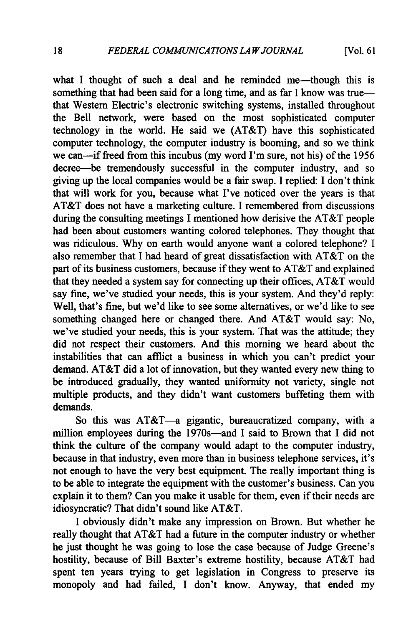[Vol. **61**

what I thought of such a deal and he reminded me—though this is something that had been said for a long time, and as far I know was truethat Western Electric's electronic switching systems, installed throughout the Bell network, were based on the most sophisticated computer technology in the world. He said we (AT&T) have this sophisticated computer technology, the computer industry is booming, and so we think we can-if freed from this incubus (my word I'm sure, not his) of the 1956 decree-be tremendously successful in the computer industry, and so giving up the local companies would be a fair swap. I replied: I don't think that will work for you, because what I've noticed over the years is that AT&T does not have a marketing culture. I remembered from discussions during the consulting meetings I mentioned how derisive the AT&T people had been about customers wanting colored telephones. They thought that was ridiculous. Why on earth would anyone want a colored telephone? I also remember that I had heard of great dissatisfaction with AT&T on the part of its business customers, because if they went to AT&T and explained that they needed a system say for connecting up their offices, AT&T would say fine, we've studied your needs, this is your system. And they'd reply: Well, that's fine, but we'd like to see some alternatives, or we'd like to see something changed here or changed there. And AT&T would say: No, we've studied your needs, this is your system. That was the attitude; they did not respect their customers. And this morning we heard about the instabilities that can afflict a business in which you can't predict your demand. AT&T did a lot of innovation, but they wanted every new thing to be introduced gradually, they wanted uniformity not variety, single not multiple products, and they didn't want customers buffeting them with demands.

So this was AT&T-a gigantic, bureaucratized company, with a million employees during the 1970s-and I said to Brown that I did not think the culture of the company would adapt to the computer industry, because in that industry, even more than in business telephone services, it's not enough to have the very best equipment. The really important thing is to be able to integrate the equipment with the customer's business. Can you explain it to them? Can you make it usable for them, even if their needs are idiosyncratic? That didn't sound like AT&T.

I obviously didn't make any impression on Brown. But whether he really thought that AT&T had a future in the computer industry or whether he just thought he was going to lose the case because of Judge Greene's hostility, because of Bill Baxter's extreme hostility, because AT&T had spent ten years trying to get legislation in Congress to preserve its monopoly and had failed, I don't know. Anyway, that ended my